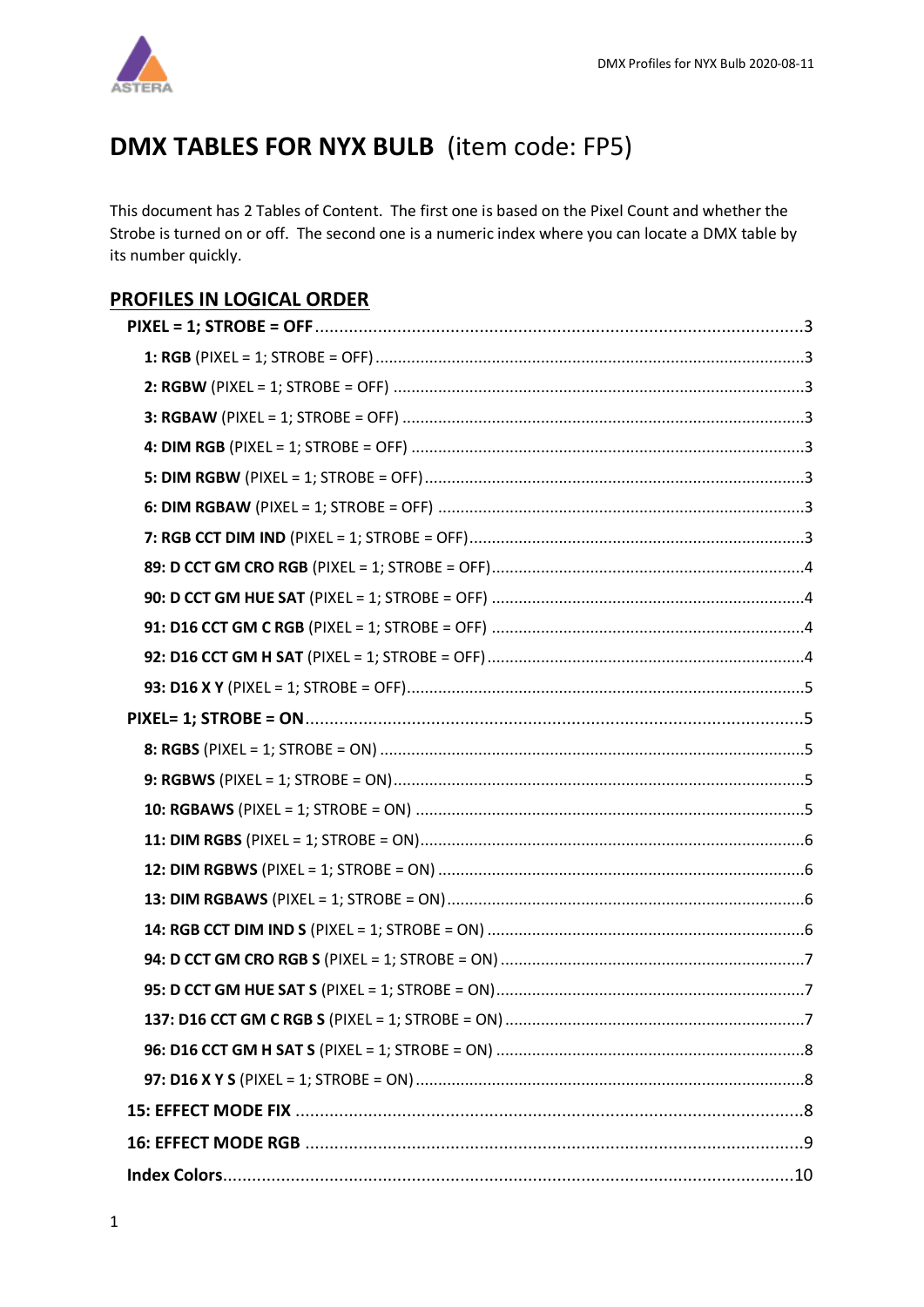

# DMX TABLES FOR NYX BULB (item code: FP5)

This document has 2 Tables of Content. The first one is based on the Pixel Count and whether the Strobe is turned on or off. The second one is a numeric index where you can locate a DMX table by its number quickly.

## **PROFILES IN LOGICAL ORDER**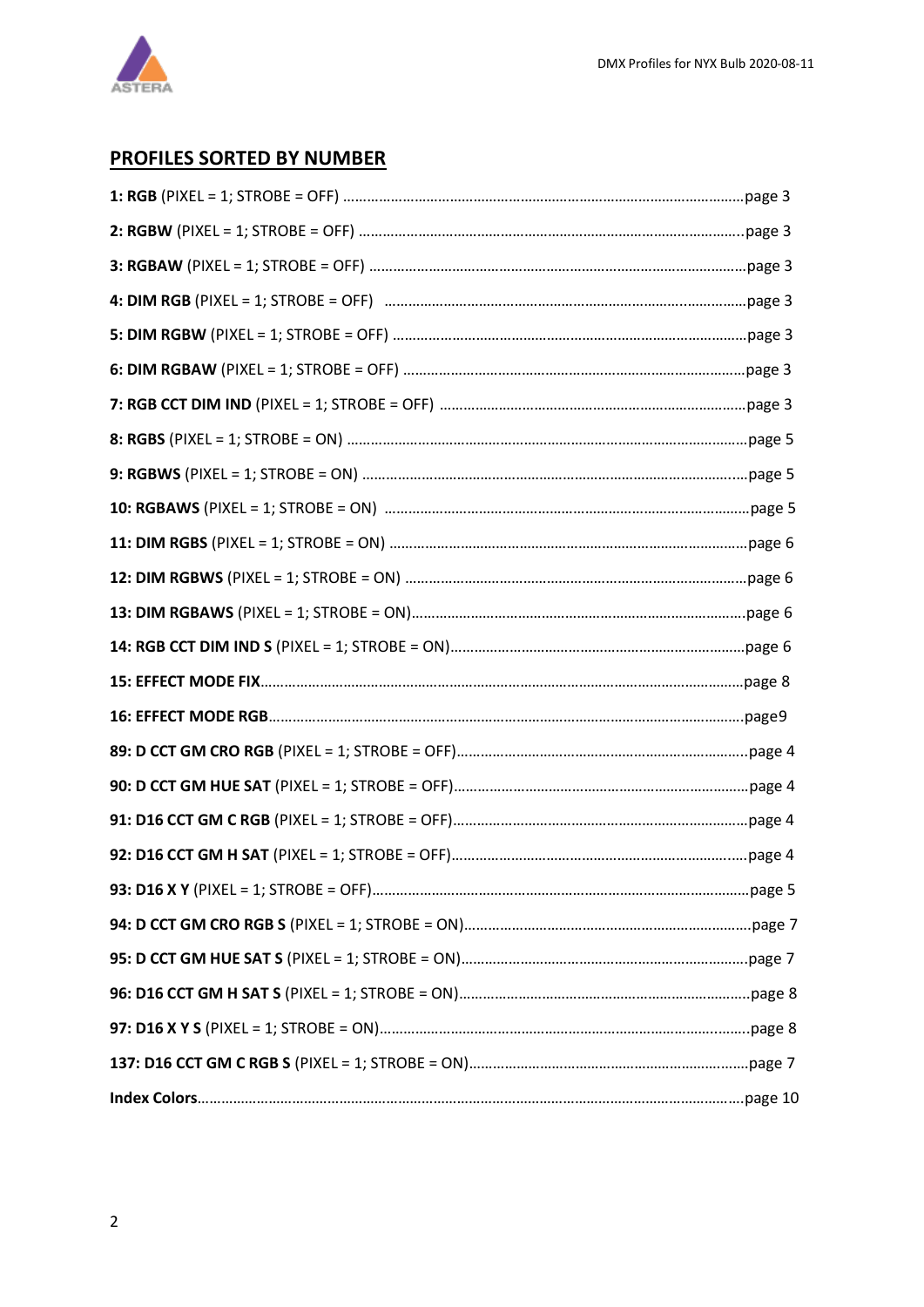

## **PROFILES SORTED BY NUMBER**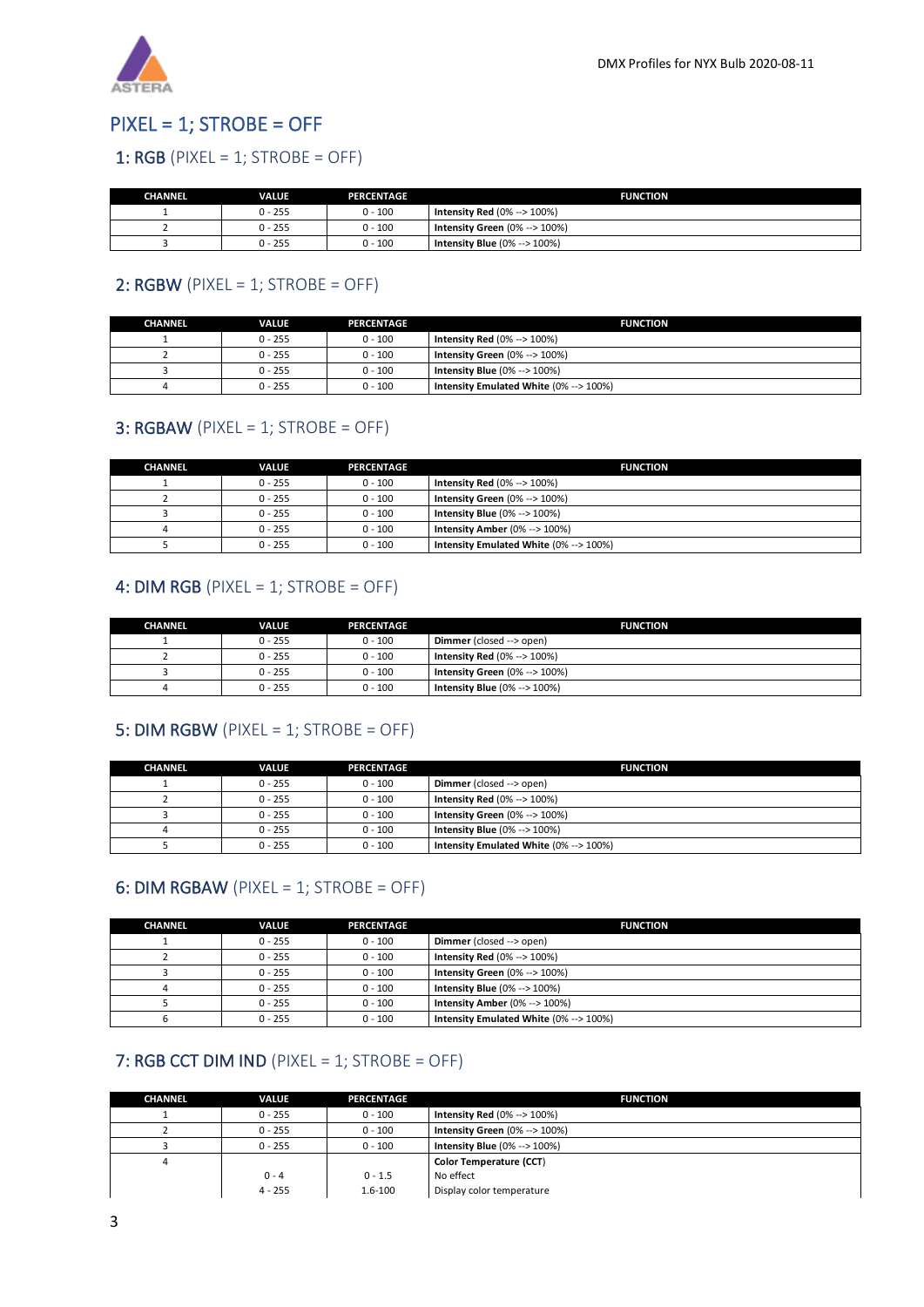

## <span id="page-2-0"></span>PIXEL = 1; STROBE = OFF

#### <span id="page-2-1"></span>1:  $RGB$  (PIXEL = 1; STROBE = OFF)

| <b>CHANNEL</b> | VALUE     | <b>PERCENTAGE</b> | <b>FUNCTION</b>                  |
|----------------|-----------|-------------------|----------------------------------|
|                | $0 - 255$ | $0 - 100$         | Intensity Red $(0\% -> 100\%)$   |
|                | $0 - 255$ | $0 - 100$         | Intensity Green $(0\% -> 100\%)$ |
|                | $0 - 255$ | $0 - 100$         | Intensity Blue $(0\% -> 100\%)$  |

#### <span id="page-2-2"></span>2:  $RGBW$  (PIXEL = 1; STROBE = OFF)

| <b>CHANNEL</b> | <b>VALUE</b> | <b>PERCENTAGE</b> | <b>FUNCTION</b>                        |
|----------------|--------------|-------------------|----------------------------------------|
|                | $0 - 255$    | $0 - 100$         | Intensity Red $(0\% -> 100\%)$         |
|                | $0 - 255$    | $0 - 100$         | Intensity Green $(0\% -> 100\%)$       |
|                | $0 - 255$    | $0 - 100$         | Intensity Blue $(0\% -> 100\%)$        |
|                | $0 - 255$    | $0 - 100$         | Intensity Emulated White (0% --> 100%) |

#### <span id="page-2-3"></span>**3: RGBAW** (PIXEL = 1; STROBE = OFF)

| <b>CHANNEL</b> | <b>VALUE</b> | <b>PERCENTAGE</b> | <b>FUNCTION</b>                        |
|----------------|--------------|-------------------|----------------------------------------|
|                | $0 - 255$    | $0 - 100$         | <b>Intensity Red (0% --&gt; 100%)</b>  |
|                | $0 - 255$    | $0 - 100$         | Intensity Green $(0\% -> 100\%)$       |
|                | $0 - 255$    | $0 - 100$         | Intensity Blue $(0\% -> 100\%)$        |
|                | $0 - 255$    | $0 - 100$         | Intensity Amber $(0\% -> 100\%)$       |
|                | $0 - 255$    | $0 - 100$         | Intensity Emulated White (0% --> 100%) |

#### <span id="page-2-4"></span>4: DIM RGB (PIXEL = 1; STROBE = OFF)

| <b>CHANNEL</b> | <b>VALUE</b> | <b>PERCENTAGE</b> | <b>FUNCTION</b>                  |
|----------------|--------------|-------------------|----------------------------------|
|                | $0 - 255$    | $0 - 100$         | Dimmer (closed --> open)         |
|                | $0 - 255$    | $0 - 100$         | Intensity Red $(0\% -> 100\%)$   |
|                | $0 - 255$    | $0 - 100$         | Intensity Green $(0\% -> 100\%)$ |
|                | $0 - 255$    | $0 - 100$         | Intensity Blue $(0\% -> 100\%)$  |

#### <span id="page-2-5"></span>5: DIM RGBW (PIXEL = 1; STROBE = OFF)

| <b>CHANNEL</b> | <b>VALUE</b> | <b>PERCENTAGE</b> | <b>FUNCTION</b>                        |
|----------------|--------------|-------------------|----------------------------------------|
|                | $0 - 255$    | $0 - 100$         | Dimmer (closed --> open)               |
|                | $0 - 255$    | $0 - 100$         | Intensity Red $(0\% -> 100\%)$         |
|                | $0 - 255$    | $0 - 100$         | Intensity Green $(0\% -> 100\%)$       |
|                | $0 - 255$    | $0 - 100$         | Intensity Blue $(0\% -> 100\%)$        |
|                | $0 - 255$    | $0 - 100$         | Intensity Emulated White (0% --> 100%) |

#### <span id="page-2-6"></span>6: DIM RGBAW (PIXEL = 1; STROBE = OFF)

| <b>CHANNEL</b> | <b>VALUE</b> | <b>PERCENTAGE</b> | <b>FUNCTION</b>                        |
|----------------|--------------|-------------------|----------------------------------------|
|                | $0 - 255$    | $0 - 100$         | Dimmer (closed --> open)               |
|                | $0 - 255$    | $0 - 100$         | Intensity Red $(0\% -> 100\%)$         |
|                | $0 - 255$    | $0 - 100$         | Intensity Green $(0\% -> 100\%)$       |
|                | $0 - 255$    | $0 - 100$         | <b>Intensity Blue (0% --&gt; 100%)</b> |
|                | $0 - 255$    | $0 - 100$         | Intensity Amber (0% --> 100%)          |
|                | $0 - 255$    | $0 - 100$         | Intensity Emulated White (0% --> 100%) |

#### <span id="page-2-7"></span>7: RGB CCT DIM IND (PIXEL = 1; STROBE = OFF)

| <b>CHANNEL</b> | <b>VALUE</b> | <b>PERCENTAGE</b> | <b>FUNCTION</b>                  |
|----------------|--------------|-------------------|----------------------------------|
|                | $0 - 255$    | $0 - 100$         | Intensity Red $(0\% -> 100\%)$   |
|                | $0 - 255$    | $0 - 100$         | Intensity Green $(0\% -> 100\%)$ |
|                | $0 - 255$    | $0 - 100$         | Intensity Blue $(0\% -> 100\%)$  |
| 4              |              |                   | Color Temperature (CCT)          |
|                | $0 - 4$      | $0 - 1.5$         | No effect                        |
|                | $4 - 255$    | $1.6 - 100$       | Display color temperature        |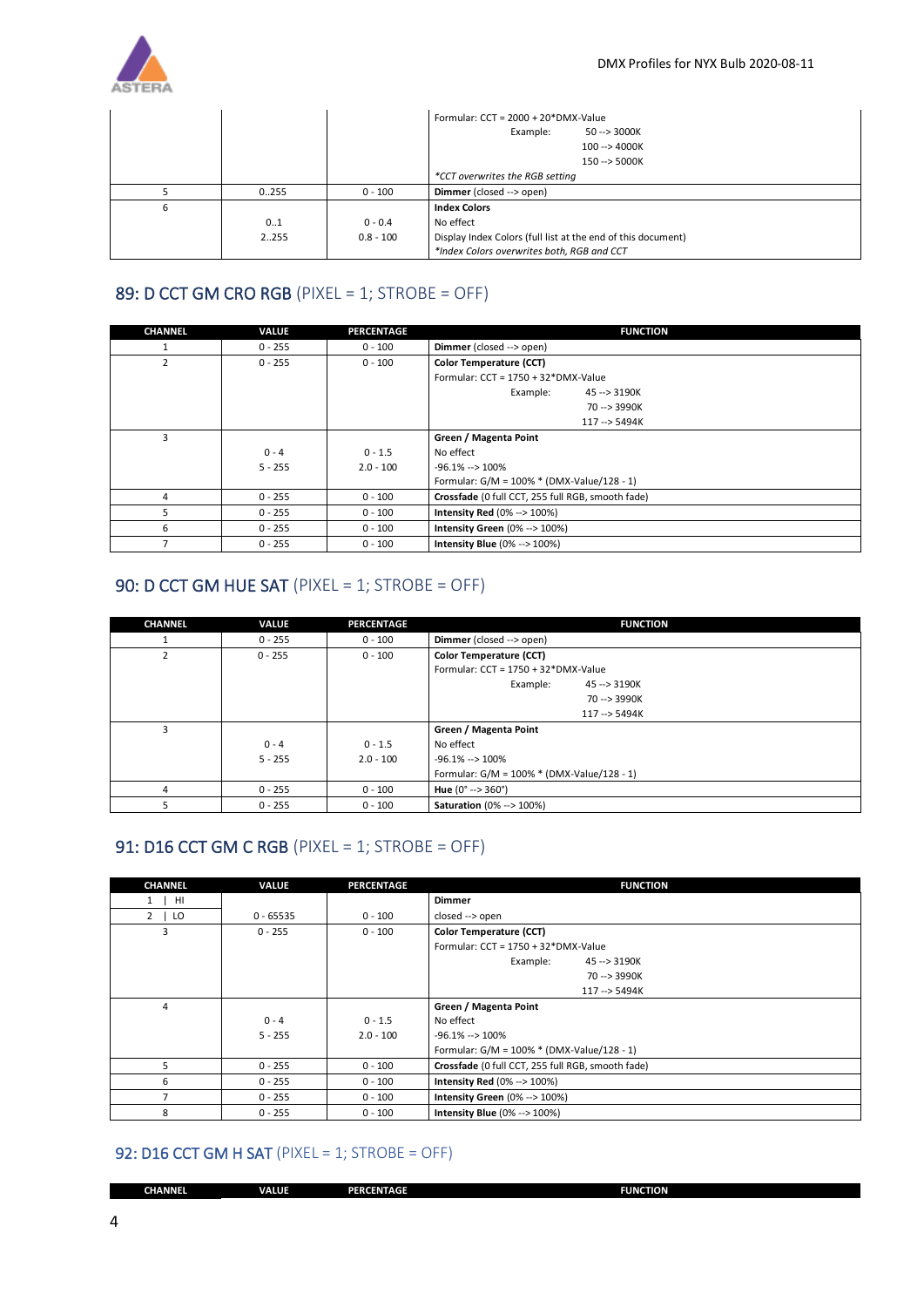

|   |       |             | Formular: $CCT = 2000 + 20*DMX-Value$                        |
|---|-------|-------------|--------------------------------------------------------------|
|   |       |             | Example:<br>$50 - > 3000K$                                   |
|   |       |             | 100 --> 4000K                                                |
|   |       |             | 150 --> 5000K                                                |
|   |       |             | *CCT overwrites the RGB setting                              |
|   | 0.255 | $0 - 100$   | Dimmer (closed --> open)                                     |
| 6 |       |             | <b>Index Colors</b>                                          |
|   | 01    | $0 - 0.4$   | No effect                                                    |
|   | 2255  | $0.8 - 100$ | Display Index Colors (full list at the end of this document) |
|   |       |             | *Index Colors overwrites both, RGB and CCT                   |

#### <span id="page-3-0"></span>89: D CCT GM CRO RGB (PIXEL = 1; STROBE = OFF)

| <b>CHANNEL</b> | <b>VALUE</b> | <b>PERCENTAGE</b> | <b>FUNCTION</b>                                   |
|----------------|--------------|-------------------|---------------------------------------------------|
| 1              | $0 - 255$    | $0 - 100$         | Dimmer (closed --> open)                          |
| $\overline{2}$ | $0 - 255$    | $0 - 100$         | Color Temperature (CCT)                           |
|                |              |                   | Formular: CCT = 1750 + 32*DMX-Value               |
|                |              |                   | Example:<br>45 --> 3190K                          |
|                |              |                   | 70 --> 3990K                                      |
|                |              |                   | 117 -- > 5494K                                    |
| 3              |              |                   | Green / Magenta Point                             |
|                | $0 - 4$      | $0 - 1.5$         | No effect                                         |
|                | $5 - 255$    | $2.0 - 100$       | $-96.1\% - 100\%$                                 |
|                |              |                   | Formular: G/M = 100% * (DMX-Value/128 - 1)        |
| 4              | $0 - 255$    | $0 - 100$         | Crossfade (0 full CCT, 255 full RGB, smooth fade) |
|                | $0 - 255$    | $0 - 100$         | <b>Intensity Red (0% --&gt; 100%)</b>             |
| 6              | $0 - 255$    | $0 - 100$         | <b>Intensity Green (0% --&gt; 100%)</b>           |
|                | $0 - 255$    | $0 - 100$         | <b>Intensity Blue (0% --&gt; 100%)</b>            |

### <span id="page-3-1"></span>90: D CCT GM HUE SAT (PIXEL = 1; STROBE = OFF)

| <b>CHANNEL</b> | <b>VALUE</b> | <b>PERCENTAGE</b> | <b>FUNCTION</b>                            |
|----------------|--------------|-------------------|--------------------------------------------|
|                | $0 - 255$    | $0 - 100$         | Dimmer (closed --> open)                   |
| $\mathcal{P}$  | $0 - 255$    | $0 - 100$         | Color Temperature (CCT)                    |
|                |              |                   | Formular: CCT = 1750 + 32*DMX-Value        |
|                |              |                   | Example:<br>45 -- > 3190K                  |
|                |              |                   | 70 --> 3990K                               |
|                |              |                   | 117 -- > 5494K                             |
| 3              |              |                   | Green / Magenta Point                      |
|                | $0 - 4$      | $0 - 1.5$         | No effect                                  |
|                | $5 - 255$    | $2.0 - 100$       | $-96.1\% - 100\%$                          |
|                |              |                   | Formular: G/M = 100% * (DMX-Value/128 - 1) |
| 4              | $0 - 255$    | $0 - 100$         | Hue $(0^{\circ} \rightarrow 360^{\circ})$  |
|                | $0 - 255$    | $0 - 100$         | <b>Saturation</b> (0% --> 100%)            |

#### <span id="page-3-2"></span>91: D16 CCT GM C RGB (PIXEL = 1; STROBE = OFF)

| <b>CHANNEL</b> | <b>VALUE</b> | <b>PERCENTAGE</b> | <b>FUNCTION</b>                                   |  |
|----------------|--------------|-------------------|---------------------------------------------------|--|
| $1$   HI       |              |                   | <b>Dimmer</b>                                     |  |
| $2 \mid$<br>LO | $0 - 65535$  | $0 - 100$         | closed --> open                                   |  |
| 3              | $0 - 255$    | $0 - 100$         | <b>Color Temperature (CCT)</b>                    |  |
|                |              |                   | Formular: $CCT = 1750 + 32*DMX-Value$             |  |
|                |              |                   | Example:<br>45 -- > 3190K                         |  |
|                |              |                   | 70 --> 3990K                                      |  |
|                |              |                   | 117 -- > 5494K                                    |  |
| 4              |              |                   | Green / Magenta Point                             |  |
|                | $0 - 4$      | $0 - 1.5$         | No effect                                         |  |
|                | $5 - 255$    | $2.0 - 100$       | $-96.1\% -2 100\%$                                |  |
|                |              |                   | Formular: $G/M = 100\% * (DMX-Value/128 - 1)$     |  |
| 5              | $0 - 255$    | $0 - 100$         | Crossfade (0 full CCT, 255 full RGB, smooth fade) |  |
| 6              | $0 - 255$    | $0 - 100$         | Intensity Red $(0\% -> 100\%)$                    |  |
|                | $0 - 255$    | $0 - 100$         | Intensity Green (0% --> 100%)                     |  |
| 8              | $0 - 255$    | $0 - 100$         | <b>Intensity Blue (0% --&gt; 100%)</b>            |  |

#### <span id="page-3-3"></span>92: D16 CCT GM H SAT (PIXEL = 1; STROBE = OFF)

| <b>CHANNEL</b> | <b>VALUE</b> | PERCENTAGE | <b>FUNCTION</b> |
|----------------|--------------|------------|-----------------|
|                |              |            |                 |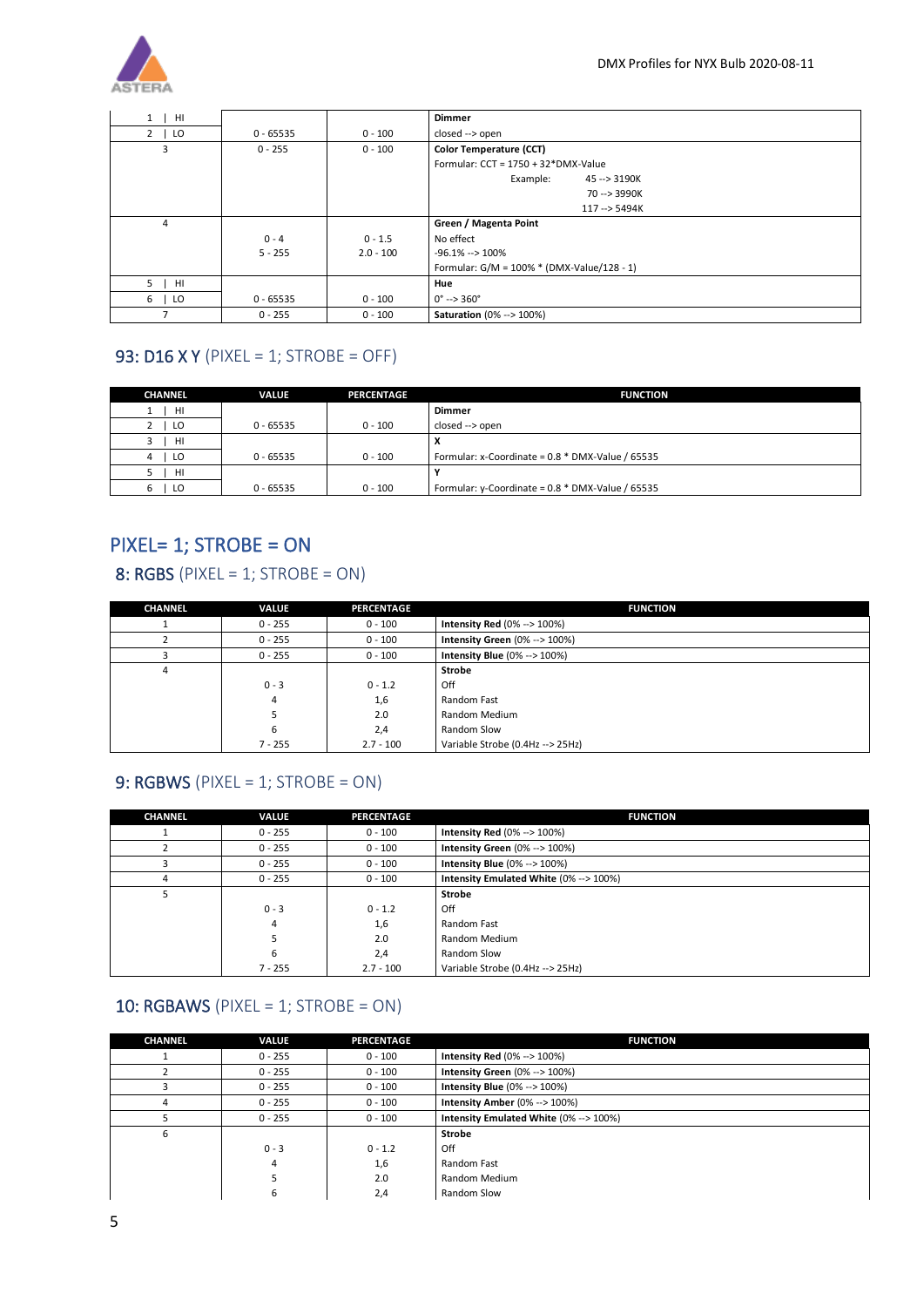

| HI             |             |             | <b>Dimmer</b>                                 |  |  |
|----------------|-------------|-------------|-----------------------------------------------|--|--|
| $2 \mid LO$    | $0 - 65535$ | $0 - 100$   | closed --> open                               |  |  |
| 3              | $0 - 255$   | $0 - 100$   | Color Temperature (CCT)                       |  |  |
|                |             |             | Formular: $CCT = 1750 + 32*DMX-Value$         |  |  |
|                |             |             | Example:<br>45 --> 3190K                      |  |  |
|                |             |             | 70 --> 3990K                                  |  |  |
|                |             |             | 117 --> 5494K                                 |  |  |
| $\overline{4}$ |             |             | Green / Magenta Point                         |  |  |
|                | $0 - 4$     | $0 - 1.5$   | No effect                                     |  |  |
|                | $5 - 255$   | $2.0 - 100$ | $-96.1\% - 100\%$                             |  |  |
|                |             |             | Formular: $G/M = 100\% * (DMX-Value/128 - 1)$ |  |  |
| $5 \mid$<br>HI |             |             | <b>Hue</b>                                    |  |  |
| $6-1$<br>LO    | $0 - 65535$ | $0 - 100$   | $0^{\circ}$ --> 360 $^{\circ}$                |  |  |
|                | $0 - 255$   | $0 - 100$   | <b>Saturation (0% --&gt; 100%)</b>            |  |  |

## <span id="page-4-0"></span>93: D16 X Y (PIXEL = 1; STROBE = OFF)

| <b>CHANNEL</b> | <b>VALUE</b> | PERCENTAGE | <b>FUNCTION</b>                                     |
|----------------|--------------|------------|-----------------------------------------------------|
| HI             |              |            | <b>Dimmer</b>                                       |
| LO             | $0 - 65535$  | $0 - 100$  | closed --> open                                     |
| HI             |              |            | x                                                   |
| LO             | $0 - 65535$  | $0 - 100$  | Formular: x-Coordinate = $0.8 * DMX$ -Value / 65535 |
| HI             |              |            |                                                     |
| LO             | $0 - 65535$  | $0 - 100$  | Formular: y-Coordinate = $0.8 * DMX$ -Value / 65535 |

## <span id="page-4-1"></span>PIXEL= 1; STROBE = ON

## <span id="page-4-2"></span>8: RGBS (PIXEL = 1; STROBE = ON)

| <b>CHANNEL</b> | <b>VALUE</b> | <b>PERCENTAGE</b> | <b>FUNCTION</b>                        |  |
|----------------|--------------|-------------------|----------------------------------------|--|
|                | $0 - 255$    | $0 - 100$         | <b>Intensity Red</b> $(0\% -> 100\%)$  |  |
|                | $0 - 255$    | $0 - 100$         | Intensity Green (0% --> 100%)          |  |
|                | $0 - 255$    | $0 - 100$         | <b>Intensity Blue (0% --&gt; 100%)</b> |  |
| 4              |              |                   | <b>Strobe</b>                          |  |
|                | $0 - 3$      | $0 - 1.2$         | Off                                    |  |
|                | 4            | 1,6               | Random Fast                            |  |
|                |              | 2.0               | Random Medium                          |  |
|                | 6            | 2,4               | Random Slow                            |  |
|                | $7 - 255$    | $2.7 - 100$       | Variable Strobe (0.4Hz --> 25Hz)       |  |

#### <span id="page-4-3"></span>9: RGBWS (PIXEL = 1; STROBE = ON)

| <b>CHANNEL</b> | <b>VALUE</b> | <b>PERCENTAGE</b> | <b>FUNCTION</b>                        |  |
|----------------|--------------|-------------------|----------------------------------------|--|
|                | $0 - 255$    | $0 - 100$         | Intensity Red $(0\% -> 100\%)$         |  |
|                | $0 - 255$    | $0 - 100$         | Intensity Green (0% --> 100%)          |  |
|                | $0 - 255$    | $0 - 100$         | <b>Intensity Blue (0% --&gt; 100%)</b> |  |
| 4              | $0 - 255$    | $0 - 100$         | Intensity Emulated White (0% --> 100%) |  |
| 5              |              |                   | <b>Strobe</b>                          |  |
|                | $0 - 3$      | $0 - 1.2$         | Off                                    |  |
|                | 4            | 1,6               | Random Fast                            |  |
|                |              | 2.0               | Random Medium                          |  |
|                | 6            | 2,4               | Random Slow                            |  |
|                | $7 - 255$    | $2.7 - 100$       | Variable Strobe (0.4Hz --> 25Hz)       |  |

### <span id="page-4-4"></span>10: RGBAWS (PIXEL =  $1$ ; STROBE = ON)

| <b>CHANNEL</b> | <b>VALUE</b> | <b>PERCENTAGE</b> | <b>FUNCTION</b>                        |  |
|----------------|--------------|-------------------|----------------------------------------|--|
|                | $0 - 255$    | $0 - 100$         | Intensity Red $(0\% -> 100\%)$         |  |
|                | $0 - 255$    | $0 - 100$         | Intensity Green (0% --> 100%)          |  |
|                | $0 - 255$    | $0 - 100$         | <b>Intensity Blue (0% --&gt; 100%)</b> |  |
| 4              | $0 - 255$    | $0 - 100$         | Intensity Amber (0% --> 100%)          |  |
|                | $0 - 255$    | $0 - 100$         | Intensity Emulated White (0% --> 100%) |  |
| 6              |              |                   | Strobe                                 |  |
|                | $0 - 3$      | $0 - 1.2$         | Off                                    |  |
|                | 4            | 1,6               | Random Fast                            |  |
|                |              | 2.0               | Random Medium                          |  |
|                | ь            | 2,4               | Random Slow                            |  |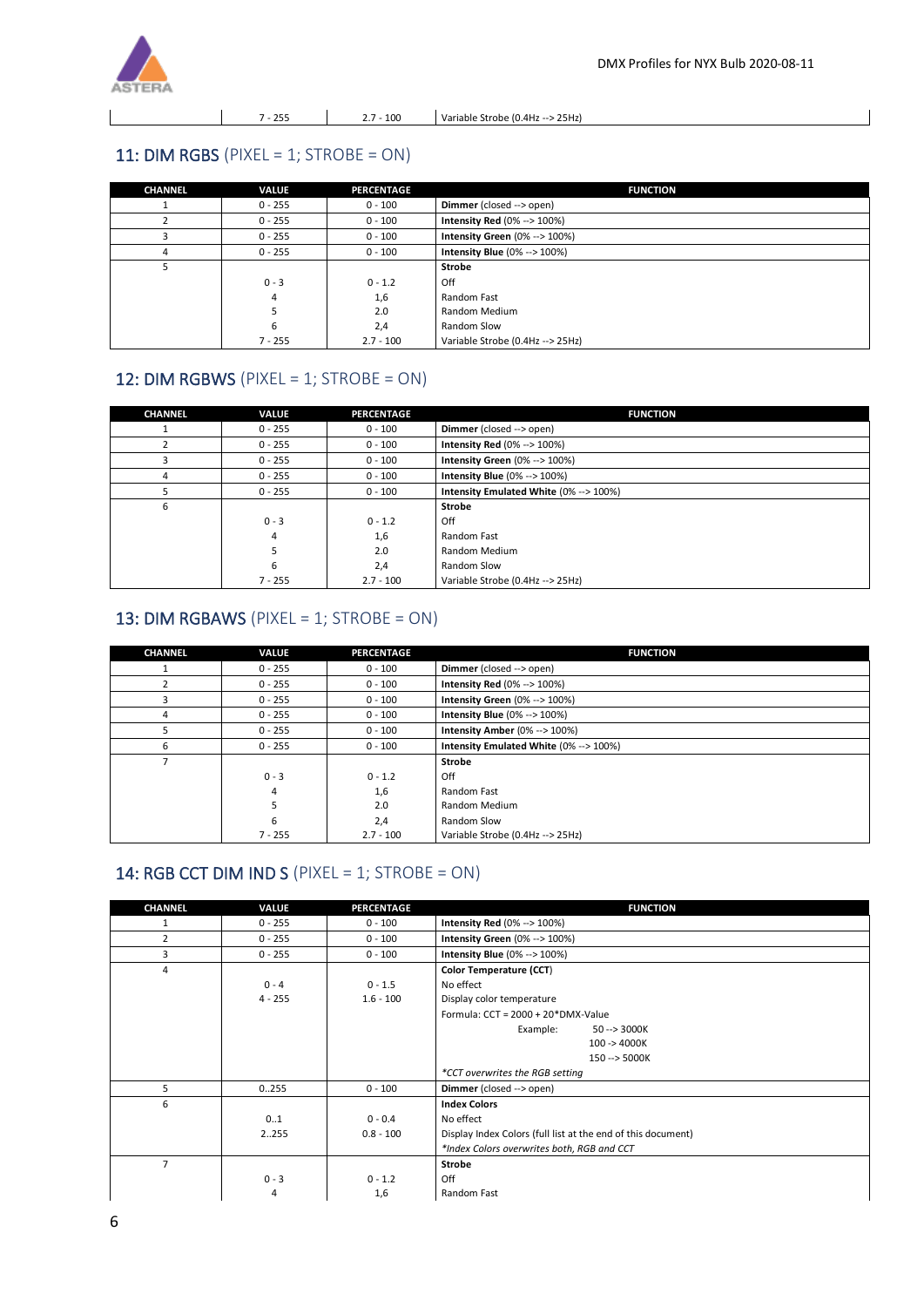

7 - 255 2.7 - 100 Variable Strobe (0.4Hz --> 25Hz)

#### <span id="page-5-0"></span>11: DIM RGBS (PIXEL = 1; STROBE =  $ON$ )

| <b>CHANNEL</b> | <b>VALUE</b> | <b>PERCENTAGE</b> | <b>FUNCTION</b>                        |  |
|----------------|--------------|-------------------|----------------------------------------|--|
|                | $0 - 255$    | $0 - 100$         | Dimmer (closed --> open)               |  |
|                | $0 - 255$    | $0 - 100$         | Intensity Red $(0\% -> 100\%)$         |  |
|                | $0 - 255$    | $0 - 100$         | Intensity Green (0% --> 100%)          |  |
| 4              | $0 - 255$    | $0 - 100$         | <b>Intensity Blue (0% --&gt; 100%)</b> |  |
|                |              |                   | Strobe                                 |  |
|                | $0 - 3$      | $0 - 1.2$         | Off                                    |  |
|                | 4            | 1,6               | Random Fast                            |  |
|                | 5            | 2.0               | Random Medium                          |  |
|                | 6            | 2,4               | Random Slow                            |  |
|                | $7 - 255$    | $2.7 - 100$       | Variable Strobe (0.4Hz --> 25Hz)       |  |

#### <span id="page-5-1"></span>12: DIM RGBWS (PIXEL = 1; STROBE = ON)

| <b>CHANNEL</b> | <b>VALUE</b> | <b>PERCENTAGE</b> | <b>FUNCTION</b>                        |  |
|----------------|--------------|-------------------|----------------------------------------|--|
|                | $0 - 255$    | $0 - 100$         | Dimmer (closed --> open)               |  |
|                | $0 - 255$    | $0 - 100$         | <b>Intensity Red (0% --&gt; 100%)</b>  |  |
|                | $0 - 255$    | $0 - 100$         | Intensity Green (0% --> 100%)          |  |
| 4              | $0 - 255$    | $0 - 100$         | <b>Intensity Blue (0% --&gt; 100%)</b> |  |
| ╮              | $0 - 255$    | $0 - 100$         | Intensity Emulated White (0% --> 100%) |  |
| 6              |              |                   | <b>Strobe</b>                          |  |
|                | $0 - 3$      | $0 - 1.2$         | Off                                    |  |
|                | 4            | 1,6               | Random Fast                            |  |
|                |              | 2.0               | Random Medium                          |  |
|                | 6            | 2,4               | Random Slow                            |  |
|                | $7 - 255$    | $2.7 - 100$       | Variable Strobe (0.4Hz --> 25Hz)       |  |

#### <span id="page-5-2"></span>13: DIM RGBAWS (PIXEL = 1; STROBE = ON)

| <b>CHANNEL</b> | VALUE     | <b>PERCENTAGE</b> | <b>FUNCTION</b>                        |  |
|----------------|-----------|-------------------|----------------------------------------|--|
|                | $0 - 255$ | $0 - 100$         | Dimmer (closed --> open)               |  |
|                | $0 - 255$ | $0 - 100$         | <b>Intensity Red (0% --&gt; 100%)</b>  |  |
|                | $0 - 255$ | $0 - 100$         | Intensity Green (0% --> 100%)          |  |
| 4              | $0 - 255$ | $0 - 100$         | <b>Intensity Blue (0% --&gt; 100%)</b> |  |
|                | $0 - 255$ | $0 - 100$         | Intensity Amber (0% --> 100%)          |  |
| 6              | $0 - 255$ | $0 - 100$         | Intensity Emulated White (0% --> 100%) |  |
|                |           |                   | <b>Strobe</b>                          |  |
|                | $0 - 3$   | $0 - 1.2$         | Off                                    |  |
|                | 4         | 1,6               | Random Fast                            |  |
|                | 5         | 2.0               | Random Medium                          |  |
|                | 6         | 2,4               | Random Slow                            |  |
|                | $7 - 255$ | $2.7 - 100$       | Variable Strobe (0.4Hz --> 25Hz)       |  |

#### <span id="page-5-3"></span>14: RGB CCT DIM IND S (PIXEL = 1; STROBE =  $ON$ )

| <b>CHANNEL</b> | VALUE     | <b>PERCENTAGE</b> | <b>FUNCTION</b>                                              |
|----------------|-----------|-------------------|--------------------------------------------------------------|
| 1              | $0 - 255$ | $0 - 100$         | <b>Intensity Red (0% --&gt; 100%)</b>                        |
| $\overline{2}$ | $0 - 255$ | $0 - 100$         | Intensity Green (0% --> 100%)                                |
| 3              | $0 - 255$ | $0 - 100$         | <b>Intensity Blue (0% --&gt; 100%)</b>                       |
| 4              |           |                   | Color Temperature (CCT)                                      |
|                | $0 - 4$   | $0 - 1.5$         | No effect                                                    |
|                | $4 - 255$ | $1.6 - 100$       | Display color temperature                                    |
|                |           |                   | Formula: $CCT = 2000 + 20*DMX-Value$                         |
|                |           |                   | Example:<br>$50 - > 3000K$                                   |
|                |           |                   | 100 -> 4000K                                                 |
|                |           |                   | 150 --> 5000K                                                |
|                |           |                   | *CCT overwrites the RGB setting                              |
| 5              | 0.255     | $0 - 100$         | Dimmer (closed --> open)                                     |
| 6              |           |                   | <b>Index Colors</b>                                          |
|                | 01        | $0 - 0.4$         | No effect                                                    |
|                | 2255      | $0.8 - 100$       | Display Index Colors (full list at the end of this document) |
|                |           |                   | *Index Colors overwrites both, RGB and CCT                   |
| $\overline{7}$ |           |                   | <b>Strobe</b>                                                |
|                | $0 - 3$   | $0 - 1.2$         | Off                                                          |
|                | 4         | 1,6               | Random Fast                                                  |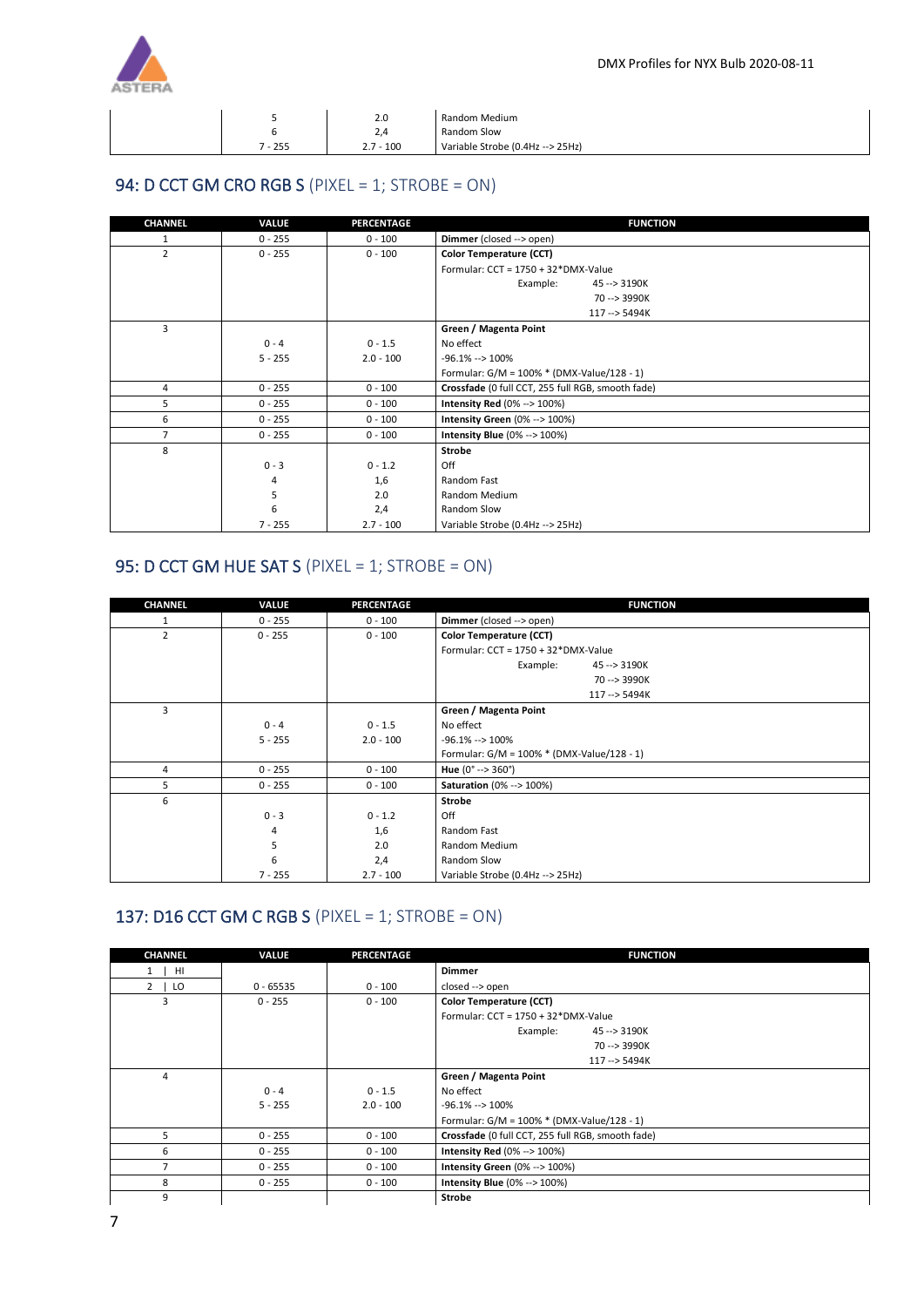

|        | 2.0         | Random Medium                    |
|--------|-------------|----------------------------------|
|        | $\sim$      | Random Slow                      |
| $-255$ | $2.7 - 100$ | Variable Strobe (0.4Hz --> 25Hz) |

## <span id="page-6-0"></span>94: D CCT GM CRO RGB S (PIXEL = 1; STROBE = ON)

| <b>CHANNEL</b> | VALUE     | <b>PERCENTAGE</b> | <b>FUNCTION</b>                                   |
|----------------|-----------|-------------------|---------------------------------------------------|
| 1              | $0 - 255$ | $0 - 100$         | Dimmer (closed --> open)                          |
| $\overline{2}$ | $0 - 255$ | $0 - 100$         | Color Temperature (CCT)                           |
|                |           |                   | Formular: $CCT = 1750 + 32*DMX-Value$             |
|                |           |                   | Example:<br>45 --> 3190K                          |
|                |           |                   | 70 --> 3990K                                      |
|                |           |                   | 117 -- > 5494K                                    |
| 3              |           |                   | Green / Magenta Point                             |
|                | $0 - 4$   | $0 - 1.5$         | No effect                                         |
|                | $5 - 255$ | $2.0 - 100$       | $-96.1\% - 100\%$                                 |
|                |           |                   | Formular: $G/M = 100\% * (DMX-Value/128 - 1)$     |
| 4              | $0 - 255$ | $0 - 100$         | Crossfade (0 full CCT, 255 full RGB, smooth fade) |
| 5              | $0 - 255$ | $0 - 100$         | <b>Intensity Red (0% --&gt; 100%)</b>             |
| 6              | $0 - 255$ | $0 - 100$         | Intensity Green (0% --> 100%)                     |
| $\overline{7}$ | $0 - 255$ | $0 - 100$         | <b>Intensity Blue (0% --&gt; 100%)</b>            |
| 8              |           |                   | <b>Strobe</b>                                     |
|                | $0 - 3$   | $0 - 1.2$         | Off                                               |
|                | 4         | 1,6               | Random Fast                                       |
|                | 5         | 2.0               | Random Medium                                     |
|                | 6         | 2,4               | Random Slow                                       |
|                | $7 - 255$ | $2.7 - 100$       | Variable Strobe (0.4Hz --> 25Hz)                  |

#### <span id="page-6-1"></span>95: D CCT GM HUE SAT S (PIXEL = 1; STROBE = ON)

| <b>CHANNEL</b> | VALUE     | <b>PERCENTAGE</b> | <b>FUNCTION</b>                            |  |
|----------------|-----------|-------------------|--------------------------------------------|--|
| 1              | $0 - 255$ | $0 - 100$         | Dimmer (closed --> open)                   |  |
| $\overline{2}$ | $0 - 255$ | $0 - 100$         | Color Temperature (CCT)                    |  |
|                |           |                   | Formular: $CCT = 1750 + 32*DMX-Value$      |  |
|                |           |                   | Example:<br>45 -- > 3190K                  |  |
|                |           |                   | 70 --> 3990K                               |  |
|                |           |                   | 117 --> 5494K                              |  |
| 3              |           |                   | Green / Magenta Point                      |  |
|                | $0 - 4$   | $0 - 1.5$         | No effect                                  |  |
|                | $5 - 255$ | $2.0 - 100$       | $-96.1\% - 100\%$                          |  |
|                |           |                   | Formular: G/M = 100% * (DMX-Value/128 - 1) |  |
| 4              | $0 - 255$ | $0 - 100$         | Hue $(0^{\circ} \rightarrow 360^{\circ})$  |  |
| 5              | $0 - 255$ | $0 - 100$         | <b>Saturation</b> (0% --> 100%)            |  |
| 6              |           |                   | <b>Strobe</b>                              |  |
|                | $0 - 3$   | $0 - 1.2$         | Off                                        |  |
|                | 4         | 1,6               | Random Fast                                |  |
|                | 5         | 2.0               | Random Medium                              |  |
|                | 6         | 2,4               | Random Slow                                |  |
|                | $7 - 255$ | $2.7 - 100$       | Variable Strobe (0.4Hz --> 25Hz)           |  |

#### <span id="page-6-2"></span>137: D16 CCT GM C RGB S (PIXEL = 1; STROBE = ON)

| <b>Dimmer</b><br>- HI<br>1  <br>$2 \mid LO$<br>$0 - 65535$<br>$0 - 100$<br>closed --> open<br>3<br>$0 - 255$<br>$0 - 100$<br>Color Temperature (CCT)<br>Formular: $CCT = 1750 + 32*DMX-Value$<br>Example:<br>45 -- > 3190K<br>70 --> 3990K<br>117 --> 5494K<br>Green / Magenta Point<br>4<br>No effect<br>$0 - 4$<br>$0 - 1.5$<br>$5 - 255$<br>$2.0 - 100$<br>$-96.1\% - 100\%$<br>Formular: $G/M = 100\% * (DMX-Value/128 - 1)$<br>5<br>Crossfade (0 full CCT, 255 full RGB, smooth fade)<br>$0 - 100$<br>$0 - 255$<br>6<br>$0 - 255$<br><b>Intensity Red</b> $(0\% -> 100\%)$<br>$0 - 100$<br>$\overline{7}$<br>$0 - 255$<br>Intensity Green (0% --> 100%)<br>$0 - 100$<br><b>Intensity Blue (0% --&gt; 100%)</b><br>8<br>$0 - 255$<br>$0 - 100$ | <b>CHANNEL</b> | VALUE | <b>PERCENTAGE</b> | <b>FUNCTION</b> |
|----------------------------------------------------------------------------------------------------------------------------------------------------------------------------------------------------------------------------------------------------------------------------------------------------------------------------------------------------------------------------------------------------------------------------------------------------------------------------------------------------------------------------------------------------------------------------------------------------------------------------------------------------------------------------------------------------------------------------------------------------|----------------|-------|-------------------|-----------------|
|                                                                                                                                                                                                                                                                                                                                                                                                                                                                                                                                                                                                                                                                                                                                                    |                |       |                   |                 |
|                                                                                                                                                                                                                                                                                                                                                                                                                                                                                                                                                                                                                                                                                                                                                    |                |       |                   |                 |
|                                                                                                                                                                                                                                                                                                                                                                                                                                                                                                                                                                                                                                                                                                                                                    |                |       |                   |                 |
|                                                                                                                                                                                                                                                                                                                                                                                                                                                                                                                                                                                                                                                                                                                                                    |                |       |                   |                 |
|                                                                                                                                                                                                                                                                                                                                                                                                                                                                                                                                                                                                                                                                                                                                                    |                |       |                   |                 |
|                                                                                                                                                                                                                                                                                                                                                                                                                                                                                                                                                                                                                                                                                                                                                    |                |       |                   |                 |
|                                                                                                                                                                                                                                                                                                                                                                                                                                                                                                                                                                                                                                                                                                                                                    |                |       |                   |                 |
|                                                                                                                                                                                                                                                                                                                                                                                                                                                                                                                                                                                                                                                                                                                                                    |                |       |                   |                 |
|                                                                                                                                                                                                                                                                                                                                                                                                                                                                                                                                                                                                                                                                                                                                                    |                |       |                   |                 |
|                                                                                                                                                                                                                                                                                                                                                                                                                                                                                                                                                                                                                                                                                                                                                    |                |       |                   |                 |
|                                                                                                                                                                                                                                                                                                                                                                                                                                                                                                                                                                                                                                                                                                                                                    |                |       |                   |                 |
|                                                                                                                                                                                                                                                                                                                                                                                                                                                                                                                                                                                                                                                                                                                                                    |                |       |                   |                 |
|                                                                                                                                                                                                                                                                                                                                                                                                                                                                                                                                                                                                                                                                                                                                                    |                |       |                   |                 |
|                                                                                                                                                                                                                                                                                                                                                                                                                                                                                                                                                                                                                                                                                                                                                    |                |       |                   |                 |
|                                                                                                                                                                                                                                                                                                                                                                                                                                                                                                                                                                                                                                                                                                                                                    |                |       |                   |                 |
|                                                                                                                                                                                                                                                                                                                                                                                                                                                                                                                                                                                                                                                                                                                                                    | 9              |       |                   | <b>Strobe</b>   |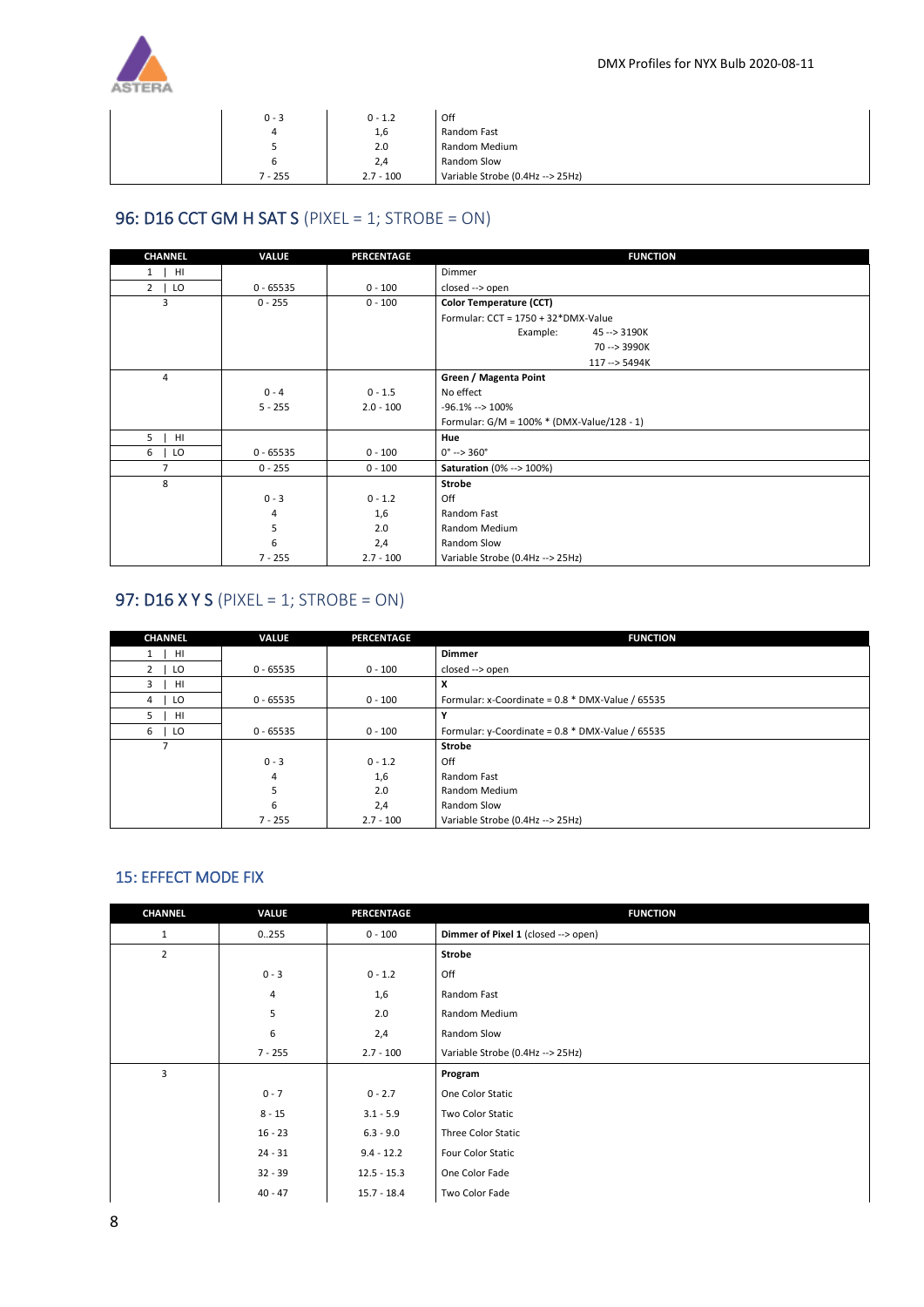

| $0 - 3$ | $0 - 1.2$   | Off                              |
|---------|-------------|----------------------------------|
| 4       | 1,6         | Random Fast                      |
| ◡       | 2.0         | Random Medium                    |
| ь       | 2,4         | Random Slow                      |
| 7 - 255 | $2.7 - 100$ | Variable Strobe (0.4Hz --> 25Hz) |

## <span id="page-7-0"></span>96: D16 CCT GM H SAT S (PIXEL = 1; STROBE = ON)

| <b>CHANNEL</b>      | VALUE       | <b>PERCENTAGE</b> | <b>FUNCTION</b>                            |
|---------------------|-------------|-------------------|--------------------------------------------|
| HI<br>$1 \quad$     |             |                   | Dimmer                                     |
| $2^{\circ}$<br>  LO | $0 - 65535$ | $0 - 100$         | closed --> open                            |
| 3                   | $0 - 255$   | $0 - 100$         | Color Temperature (CCT)                    |
|                     |             |                   | Formular: $CCT = 1750 + 32*DMX-Value$      |
|                     |             |                   | Example:<br>45 -- > 3190K                  |
|                     |             |                   | 70 --> 3990K                               |
|                     |             |                   | 117 -- > 5494K                             |
| 4                   |             |                   | Green / Magenta Point                      |
|                     | $0 - 4$     | $0 - 1.5$         | No effect                                  |
|                     | $5 - 255$   | $2.0 - 100$       | $-96.1\% - 100\%$                          |
|                     |             |                   | Formular: G/M = 100% * (DMX-Value/128 - 1) |
| 5<br>HI             |             |                   | Hue                                        |
| 6<br>LO             | $0 - 65535$ | $0 - 100$         | $0^{\circ}$ --> 360 $^{\circ}$             |
| $\overline{7}$      | $0 - 255$   | $0 - 100$         | <b>Saturation</b> (0% --> 100%)            |
| 8                   |             |                   | <b>Strobe</b>                              |
|                     | $0 - 3$     | $0 - 1.2$         | Off                                        |
|                     | 4           | 1,6               | Random Fast                                |
|                     | 5           | 2.0               | Random Medium                              |
|                     | 6           | 2,4               | Random Slow                                |
|                     | $7 - 255$   | $2.7 - 100$       | Variable Strobe (0.4Hz --> 25Hz)           |

## <span id="page-7-1"></span>97: D16 X Y S (PIXEL = 1; STROBE = ON)

| <b>CHANNEL</b>       | <b>VALUE</b> | <b>PERCENTAGE</b> | <b>FUNCTION</b>                                     |
|----------------------|--------------|-------------------|-----------------------------------------------------|
| HI                   |              |                   | <b>Dimmer</b>                                       |
| $\overline{2}$<br>LO | $0 - 65535$  | $0 - 100$         | closed --> open                                     |
| HI<br>3              |              |                   | x                                                   |
| LO<br>4              | $0 - 65535$  | $0 - 100$         | Formular: x-Coordinate = 0.8 * DMX-Value / 65535    |
| HI<br>5.             |              |                   |                                                     |
| 6<br>LO              | $0 - 65535$  | $0 - 100$         | Formular: y-Coordinate = $0.8 * DMX$ -Value / 65535 |
|                      |              |                   | <b>Strobe</b>                                       |
|                      | $0 - 3$      | $0 - 1.2$         | Off                                                 |
|                      | 4            | 1,6               | Random Fast                                         |
|                      | 5            | 2.0               | Random Medium                                       |
|                      | 6            | 2,4               | Random Slow                                         |
|                      | $7 - 255$    | $2.7 - 100$       | Variable Strobe (0.4Hz --> 25Hz)                    |

#### <span id="page-7-2"></span>15: EFFECT MODE FIX

| CHANNEL        | VALUE     | PERCENTAGE    | <b>FUNCTION</b>                     |
|----------------|-----------|---------------|-------------------------------------|
| $\mathbf{1}$   | 0.255     | $0 - 100$     | Dimmer of Pixel 1 (closed --> open) |
| $\overline{2}$ |           |               | Strobe                              |
|                | $0 - 3$   | $0 - 1.2$     | Off                                 |
|                | 4         | 1,6           | Random Fast                         |
|                | 5         | 2.0           | Random Medium                       |
|                | 6         | 2,4           | Random Slow                         |
|                | $7 - 255$ | $2.7 - 100$   | Variable Strobe (0.4Hz --> 25Hz)    |
| 3              |           |               | Program                             |
|                | $0 - 7$   | $0 - 2.7$     | One Color Static                    |
|                | $8 - 15$  | $3.1 - 5.9$   | Two Color Static                    |
|                | $16 - 23$ | $6.3 - 9.0$   | Three Color Static                  |
|                | $24 - 31$ | $9.4 - 12.2$  | Four Color Static                   |
|                | $32 - 39$ | $12.5 - 15.3$ | One Color Fade                      |
|                | $40 - 47$ | $15.7 - 18.4$ | Two Color Fade                      |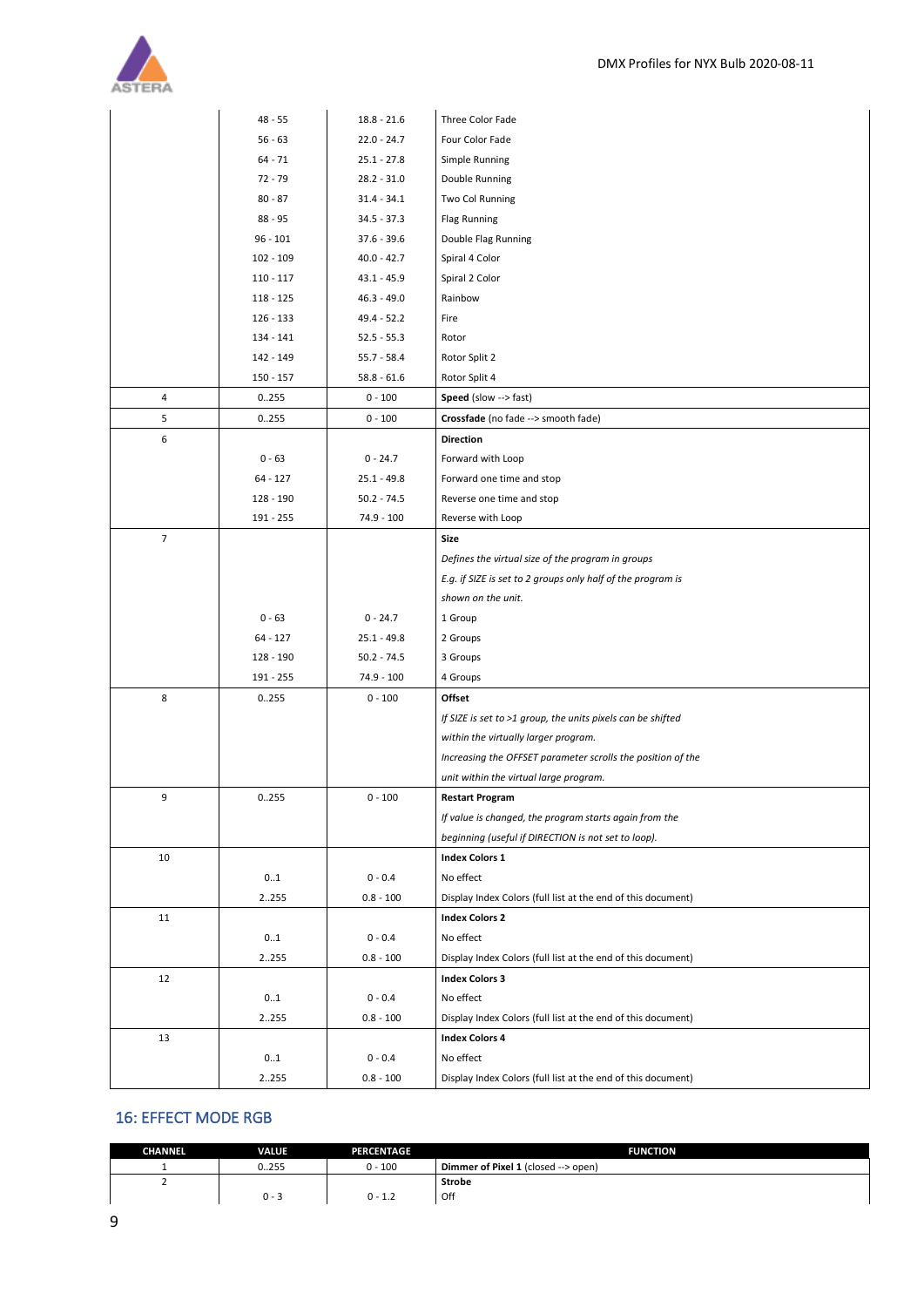

|                | $48 - 55$   | $18.8 - 21.6$ | Three Color Fade                                             |
|----------------|-------------|---------------|--------------------------------------------------------------|
|                | $56 - 63$   | $22.0 - 24.7$ | Four Color Fade                                              |
|                | $64 - 71$   | $25.1 - 27.8$ | Simple Running                                               |
|                | $72 - 79$   | 28.2 - 31.0   | Double Running                                               |
|                | $80 - 87$   | $31.4 - 34.1$ | Two Col Running                                              |
|                | 88 - 95     | 34.5 - 37.3   | <b>Flag Running</b>                                          |
|                | $96 - 101$  | 37.6 - 39.6   | Double Flag Running                                          |
|                | 102 - 109   | $40.0 - 42.7$ | Spiral 4 Color                                               |
|                | $110 - 117$ | 43.1 - 45.9   | Spiral 2 Color                                               |
|                | $118 - 125$ | $46.3 - 49.0$ | Rainbow                                                      |
|                | 126 - 133   | 49.4 - 52.2   | Fire                                                         |
|                | 134 - 141   | $52.5 - 55.3$ | Rotor                                                        |
|                | 142 - 149   | $55.7 - 58.4$ | Rotor Split 2                                                |
|                | 150 - 157   | $58.8 - 61.6$ | Rotor Split 4                                                |
| 4              | 0255        | $0 - 100$     | Speed (slow --> fast)                                        |
| 5              | 0255        | $0 - 100$     | Crossfade (no fade --> smooth fade)                          |
| 6              |             |               | <b>Direction</b>                                             |
|                | $0 - 63$    | $0 - 24.7$    | Forward with Loop                                            |
|                | $64 - 127$  | $25.1 - 49.8$ | Forward one time and stop                                    |
|                | 128 - 190   | $50.2 - 74.5$ | Reverse one time and stop                                    |
|                | 191 - 255   | 74.9 - 100    | Reverse with Loop                                            |
| $\overline{7}$ |             |               | Size                                                         |
|                |             |               | Defines the virtual size of the program in groups            |
|                |             |               | E.g. if SIZE is set to 2 groups only half of the program is  |
|                |             |               | shown on the unit.                                           |
|                | $0 - 63$    | $0 - 24.7$    | 1 Group                                                      |
|                | $64 - 127$  | $25.1 - 49.8$ | 2 Groups                                                     |
|                | 128 - 190   | $50.2 - 74.5$ | 3 Groups                                                     |
|                | 191 - 255   | 74.9 - 100    | 4 Groups                                                     |
| 8              | 0.255       | $0 - 100$     | Offset                                                       |
|                |             |               | If SIZE is set to >1 group, the units pixels can be shifted  |
|                |             |               | within the virtually larger program.                         |
|                |             |               | Increasing the OFFSET parameter scrolls the position of the  |
|                |             |               | unit within the virtual large program.                       |
| 9              | 0255        | $0 - 100$     | <b>Restart Program</b>                                       |
|                |             |               | If value is changed, the program starts again from the       |
|                |             |               | beginning (useful if DIRECTION is not set to loop).          |
| 10             |             |               | <b>Index Colors 1</b>                                        |
|                | 01          | $0 - 0.4$     | No effect                                                    |
|                | 2.255       | $0.8 - 100$   | Display Index Colors (full list at the end of this document) |
| 11             |             |               | <b>Index Colors 2</b>                                        |
|                | 01          | $0 - 0.4$     | No effect                                                    |
|                | 2255        | $0.8 - 100$   | Display Index Colors (full list at the end of this document) |
| 12             |             |               | <b>Index Colors 3</b>                                        |
|                | 01          | $0 - 0.4$     | No effect                                                    |
|                | 2255        | $0.8 - 100$   | Display Index Colors (full list at the end of this document) |
| 13             |             |               | <b>Index Colors 4</b>                                        |
|                | 01          | $0 - 0.4$     | No effect                                                    |
|                |             |               |                                                              |
|                | 2255        | $0.8 - 100$   | Display Index Colors (full list at the end of this document) |

#### <span id="page-8-0"></span>16: EFFECT MODE RGB

| <b>CHANNEL</b> | <b>VALUE</b> | <b>PERCENTAGE</b> | <b>FUNCTION</b>                     |
|----------------|--------------|-------------------|-------------------------------------|
|                | 0.255        | $0 - 100$         | Dimmer of Pixel 1 (closed --> open) |
|                |              |                   | <b>Strobe</b>                       |
|                | $0 - 3$      | $0 - 1.2$         | Off                                 |
|                |              |                   |                                     |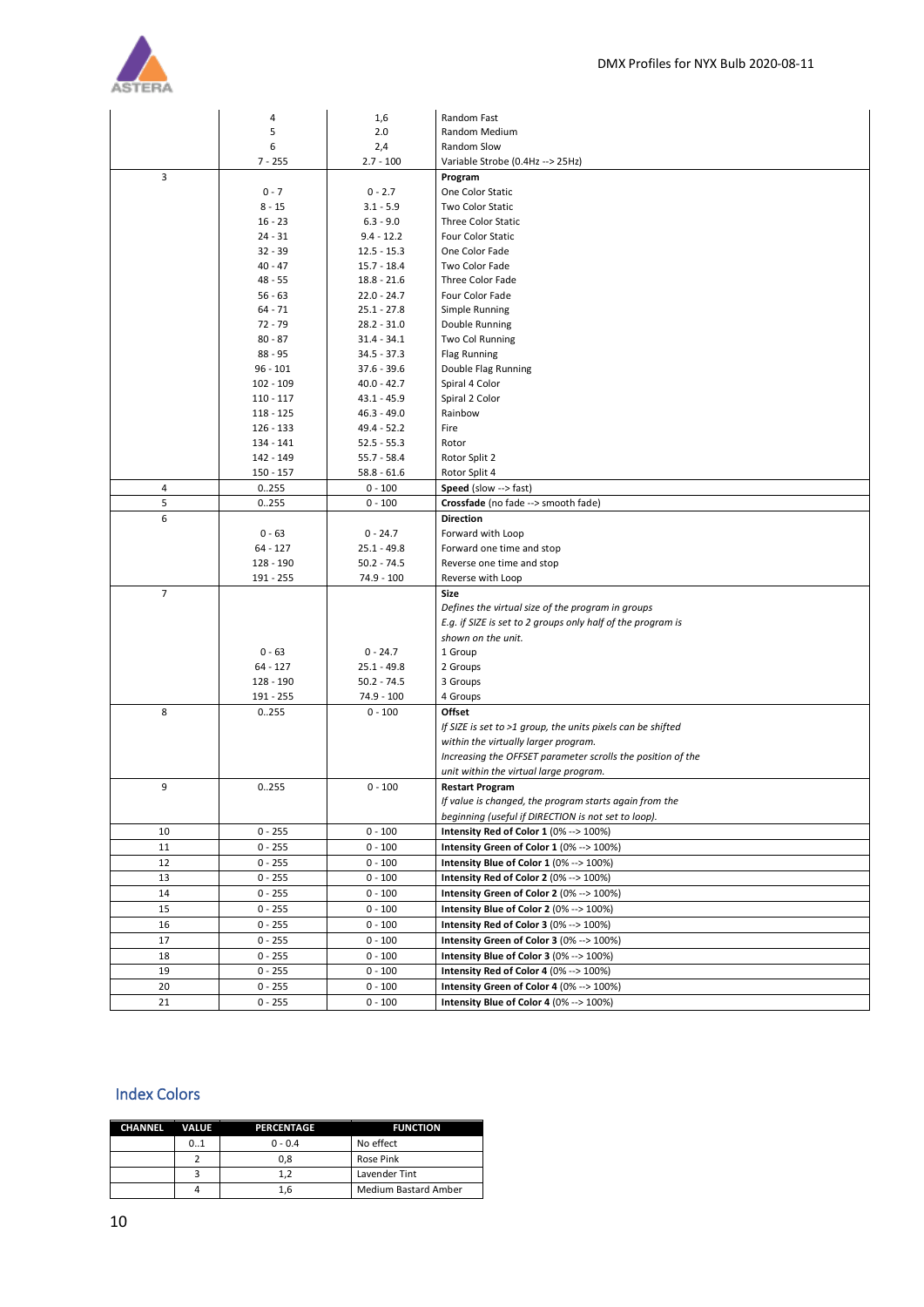

|                | 4           | 1,6           | Random Fast                                                 |  |
|----------------|-------------|---------------|-------------------------------------------------------------|--|
|                | 5           | 2.0           | Random Medium                                               |  |
|                | 6           | 2,4           | Random Slow                                                 |  |
|                | $7 - 255$   | $2.7 - 100$   | Variable Strobe (0.4Hz --> 25Hz)                            |  |
| 3              |             |               | Program                                                     |  |
|                | $0 - 7$     | $0 - 2.7$     | One Color Static                                            |  |
|                | $8 - 15$    | $3.1 - 5.9$   | <b>Two Color Static</b>                                     |  |
|                | $16 - 23$   | $6.3 - 9.0$   | <b>Three Color Static</b>                                   |  |
|                | $24 - 31$   | $9.4 - 12.2$  | Four Color Static                                           |  |
|                | $32 - 39$   | $12.5 - 15.3$ | One Color Fade                                              |  |
|                | $40 - 47$   | $15.7 - 18.4$ | Two Color Fade                                              |  |
|                | $48 - 55$   | $18.8 - 21.6$ | Three Color Fade                                            |  |
|                | $56 - 63$   | $22.0 - 24.7$ | Four Color Fade                                             |  |
|                | $64 - 71$   | $25.1 - 27.8$ | Simple Running                                              |  |
|                | $72 - 79$   | $28.2 - 31.0$ | Double Running                                              |  |
|                | $80 - 87$   | $31.4 - 34.1$ | Two Col Running                                             |  |
|                |             |               |                                                             |  |
|                | $88 - 95$   | $34.5 - 37.3$ | <b>Flag Running</b>                                         |  |
|                | $96 - 101$  | $37.6 - 39.6$ | Double Flag Running                                         |  |
|                | 102 - 109   | $40.0 - 42.7$ | Spiral 4 Color                                              |  |
|                | $110 - 117$ | $43.1 - 45.9$ | Spiral 2 Color                                              |  |
|                | $118 - 125$ | $46.3 - 49.0$ | Rainbow                                                     |  |
|                | $126 - 133$ | 49.4 - 52.2   | Fire                                                        |  |
|                | 134 - 141   | $52.5 - 55.3$ | Rotor                                                       |  |
|                | 142 - 149   | $55.7 - 58.4$ | Rotor Split 2                                               |  |
|                | $150 - 157$ | $58.8 - 61.6$ | Rotor Split 4                                               |  |
| 4              | 0.255       | $0 - 100$     | Speed (slow --> fast)                                       |  |
| 5              | 0.255       | $0 - 100$     | Crossfade (no fade --> smooth fade)                         |  |
| 6              |             |               | <b>Direction</b>                                            |  |
|                | $0 - 63$    | $0 - 24.7$    | Forward with Loop                                           |  |
|                | $64 - 127$  | $25.1 - 49.8$ | Forward one time and stop                                   |  |
|                | 128 - 190   | $50.2 - 74.5$ | Reverse one time and stop                                   |  |
|                | 191 - 255   | 74.9 - 100    | Reverse with Loop                                           |  |
| $\overline{7}$ |             |               | <b>Size</b>                                                 |  |
|                |             |               | Defines the virtual size of the program in groups           |  |
|                |             |               | E.g. if SIZE is set to 2 groups only half of the program is |  |
|                |             |               | shown on the unit.                                          |  |
|                | $0 - 63$    | $0 - 24.7$    | 1 Group                                                     |  |
|                | $64 - 127$  | $25.1 - 49.8$ | 2 Groups                                                    |  |
|                | 128 - 190   | $50.2 - 74.5$ | 3 Groups                                                    |  |
|                | 191 - 255   | 74.9 - 100    | 4 Groups                                                    |  |
| 8              | 0.255       | $0 - 100$     | Offset                                                      |  |
|                |             |               | If SIZE is set to >1 group, the units pixels can be shifted |  |
|                |             |               | within the virtually larger program.                        |  |
|                |             |               | Increasing the OFFSET parameter scrolls the position of the |  |
|                |             |               | unit within the virtual large program.                      |  |
| 9              | 0255        | $0 - 100$     | <b>Restart Program</b>                                      |  |
|                |             |               | If value is changed, the program starts again from the      |  |
|                |             |               | beginning (useful if DIRECTION is not set to loop).         |  |
| 10             | $0 - 255$   | $0 - 100$     | Intensity Red of Color 1 (0% --> 100%)                      |  |
| 11             | $0 - 255$   | $0 - 100$     | Intensity Green of Color 1 (0% --> 100%)                    |  |
| 12             | $0 - 255$   | $0 - 100$     | Intensity Blue of Color 1 (0% --> 100%)                     |  |
| 13             | $0 - 255$   | $0 - 100$     | Intensity Red of Color 2 (0% --> 100%)                      |  |
| 14             | $0 - 255$   | $0 - 100$     | Intensity Green of Color 2 (0% --> 100%)                    |  |
|                | $0 - 255$   |               |                                                             |  |
| 15             |             | $0 - 100$     | Intensity Blue of Color 2 (0% --> 100%)                     |  |
| 16             | $0 - 255$   | $0 - 100$     | Intensity Red of Color 3 (0% --> 100%)                      |  |
| 17             | $0 - 255$   | $0 - 100$     | Intensity Green of Color 3 (0% --> 100%)                    |  |
| 18             | $0 - 255$   | $0 - 100$     | Intensity Blue of Color 3 (0% --> 100%)                     |  |
| 19             | $0 - 255$   | $0 - 100$     | Intensity Red of Color 4 (0% --> 100%)                      |  |
| 20             | $0 - 255$   | $0 - 100$     | Intensity Green of Color 4 (0% --> 100%)                    |  |
| 21             | $0 - 255$   | $0 - 100$     | Intensity Blue of Color 4 (0% --> 100%)                     |  |

## <span id="page-9-0"></span>Index Colors

| CHANNEL VALUE |     | PERCENTAGE | <b>FUNCTION</b>      |
|---------------|-----|------------|----------------------|
|               | 0.1 | $0 - 0.4$  | No effect            |
|               |     | 0.8        | Rose Pink            |
|               |     | 1,2        | Lavender Tint        |
|               |     | 1.6        | Medium Bastard Amber |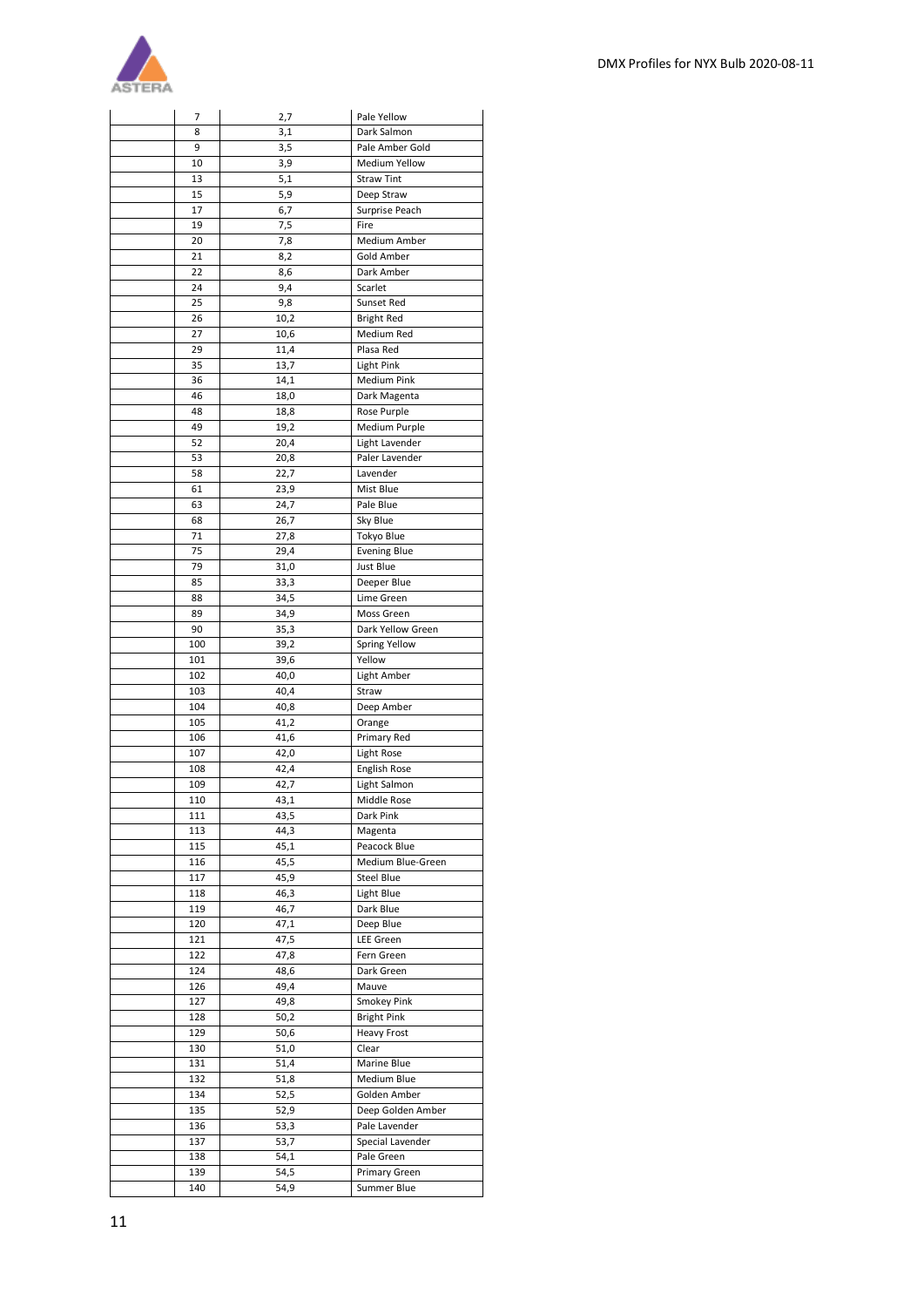

| 7   | 2,7  | Pale Yellow          |
|-----|------|----------------------|
| 8   | 3,1  | Dark Salmon          |
| 9   | 3,5  | Pale Amber Gold      |
| 10  | 3,9  | <b>Medium Yellow</b> |
| 13  | 5,1  | <b>Straw Tint</b>    |
| 15  | 5,9  | Deep Straw           |
| 17  | 6,7  | Surprise Peach       |
| 19  | 7,5  | Fire                 |
| 20  | 7,8  | Medium Amber         |
| 21  | 8,2  | Gold Amber           |
| 22  | 8,6  | Dark Amber           |
| 24  | 9,4  | Scarlet              |
| 25  | 9,8  | Sunset Red           |
| 26  | 10,2 | <b>Bright Red</b>    |
| 27  | 10,6 | Medium Red           |
| 29  | 11,4 | Plasa Red            |
| 35  | 13,7 | <b>Light Pink</b>    |
| 36  | 14,1 | Medium Pink          |
| 46  | 18,0 | Dark Magenta         |
| 48  | 18,8 | Rose Purple          |
| 49  | 19,2 | Medium Purple        |
| 52  | 20,4 | Light Lavender       |
| 53  | 20,8 | Paler Lavender       |
| 58  | 22,7 | Lavender             |
| 61  | 23,9 | Mist Blue            |
| 63  | 24,7 | Pale Blue            |
| 68  | 26,7 | Sky Blue             |
| 71  | 27,8 | Tokyo Blue           |
| 75  | 29,4 | <b>Evening Blue</b>  |
| 79  | 31,0 | Just Blue            |
| 85  | 33,3 | Deeper Blue          |
| 88  | 34,5 | Lime Green           |
| 89  | 34,9 | Moss Green           |
| 90  | 35,3 | Dark Yellow Green    |
| 100 | 39,2 | Spring Yellow        |
| 101 | 39,6 | Yellow               |
| 102 | 40,0 | Light Amber          |
| 103 | 40,4 | Straw                |
| 104 | 40,8 | Deep Amber           |
| 105 | 41,2 | Orange               |
| 106 | 41,6 | Primary Red          |
| 107 | 42,0 | Light Rose           |
| 108 | 42,4 | English Rose         |
| 109 | 42,7 | Light Salmon         |
| 110 | 43,1 | Middle Rose          |
| 111 | 43,5 | Dark Pink            |
| 113 | 44,3 | Magenta              |
| 115 | 45,1 | Peacock Blue         |
| 116 | 45,5 | Medium Blue-Green    |
| 117 | 45,9 | Steel Blue           |
| 118 | 46,3 | Light Blue           |
| 119 | 46,7 | Dark Blue            |
| 120 | 47,1 | Deep Blue            |
| 121 | 47,5 | LEE Green            |
| 122 | 47,8 | Fern Green           |
| 124 | 48,6 | Dark Green           |
| 126 | 49,4 | Mauve                |
| 127 | 49,8 | Smokey Pink          |
| 128 | 50,2 | <b>Bright Pink</b>   |
| 129 | 50,6 | <b>Heavy Frost</b>   |
| 130 | 51,0 | Clear                |
| 131 | 51,4 | Marine Blue          |
| 132 | 51,8 | Medium Blue          |
| 134 | 52,5 | Golden Amber         |
| 135 | 52,9 | Deep Golden Amber    |
| 136 | 53,3 | Pale Lavender        |
| 137 | 53,7 | Special Lavender     |
| 138 | 54,1 | Pale Green           |
| 139 | 54,5 | Primary Green        |
| 140 | 54,9 | Summer Blue          |
|     |      |                      |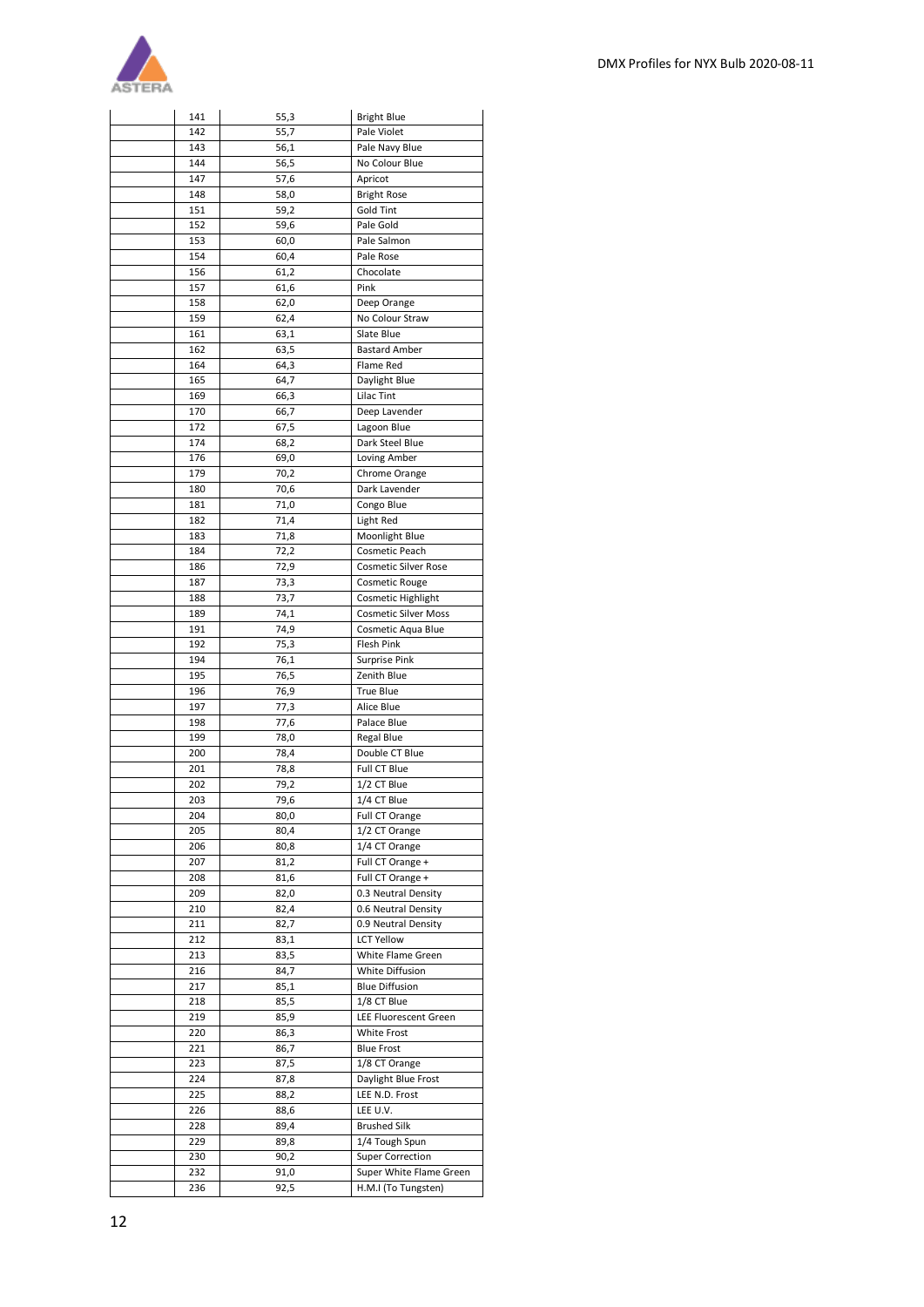

| 141        | 55,3         | <b>Bright Blue</b>             |
|------------|--------------|--------------------------------|
| 142        | 55,7         | Pale Violet                    |
| 143        | 56,1         | Pale Navy Blue                 |
| 144        | 56,5         | No Colour Blue                 |
| 147        | 57,6         | Apricot                        |
| 148        | 58,0         | <b>Bright Rose</b>             |
| 151        | 59,2         | Gold Tint                      |
| 152        | 59,6         | Pale Gold                      |
| 153        | 60,0         | Pale Salmon                    |
| 154        | 60,4         | Pale Rose                      |
| 156        | 61,2         | Chocolate                      |
| 157        | 61,6         | Pink                           |
| 158<br>159 | 62,0         | Deep Orange<br>No Colour Straw |
| 161        | 62,4<br>63,1 | Slate Blue                     |
| 162        | 63,5         | <b>Bastard Amber</b>           |
| 164        | 64,3         | Flame Red                      |
| 165        | 64,7         | Daylight Blue                  |
| 169        | 66,3         | <b>Lilac Tint</b>              |
| 170        | 66,7         | Deep Lavender                  |
| 172        | 67,5         | Lagoon Blue                    |
| 174        | 68,2         | Dark Steel Blue                |
| 176        | 69,0         | Loving Amber                   |
| 179        | 70,2         | Chrome Orange                  |
| 180        | 70,6         | Dark Lavender                  |
| 181        | 71,0         | Congo Blue                     |
| 182        | 71,4         | Light Red                      |
| 183        | 71,8         | Moonlight Blue                 |
| 184        | 72,2         | Cosmetic Peach                 |
| 186        | 72,9         | <b>Cosmetic Silver Rose</b>    |
| 187        | 73,3         | <b>Cosmetic Rouge</b>          |
| 188        | 73,7         | Cosmetic Highlight             |
| 189        | 74,1         | <b>Cosmetic Silver Moss</b>    |
| 191        | 74,9         | Cosmetic Aqua Blue             |
| 192        | 75,3         | Flesh Pink                     |
| 194        | 76,1         | Surprise Pink                  |
| 195        | 76,5         | Zenith Blue                    |
| 196        | 76,9         | <b>True Blue</b>               |
| 197        | 77,3         | Alice Blue                     |
| 198        | 77,6         | Palace Blue                    |
| 199        | 78,0         | Regal Blue                     |
| 200        | 78,4         | Double CT Blue<br>Full CT Blue |
| 201<br>202 | 78,8<br>79,2 | 1/2 CT Blue                    |
| 203        |              | 1/4 CT Blue                    |
| 204        | 79,6<br>80,0 | Full CT Orange                 |
| 205        | 80,4         | 1/2 CT Orange                  |
| 206        | 80,8         | 1/4 CT Orange                  |
| 207        | 81,2         | Full CT Orange +               |
| 208        | 81,6         | Full CT Orange +               |
| 209        | 82,0         | 0.3 Neutral Density            |
| 210        | 82,4         | 0.6 Neutral Density            |
| 211        | 82,7         | 0.9 Neutral Density            |
| 212        | 83,1         | <b>LCT Yellow</b>              |
| 213        | 83,5         | White Flame Green              |
| 216        | 84,7         | White Diffusion                |
| 217        | 85,1         | <b>Blue Diffusion</b>          |
| 218        | 85,5         | 1/8 CT Blue                    |
| 219        | 85,9         | LEE Fluorescent Green          |
| 220        | 86,3         | White Frost                    |
| 221        | 86,7         | <b>Blue Frost</b>              |
| 223        | 87,5         | $\overline{1/8}$ CT Orange     |
| 224        | 87,8         | Daylight Blue Frost            |
| 225        | 88,2         | LEE N.D. Frost                 |
| 226        | 88,6         | LEE U.V.                       |
| 228        | 89,4         | <b>Brushed Silk</b>            |
| 229        | 89,8         | 1/4 Tough Spun                 |
| 230        | 90,2         | Super Correction               |
| 232        | 91,0         | Super White Flame Green        |
| 236        | 92,5         | H.M.I (To Tungsten)            |